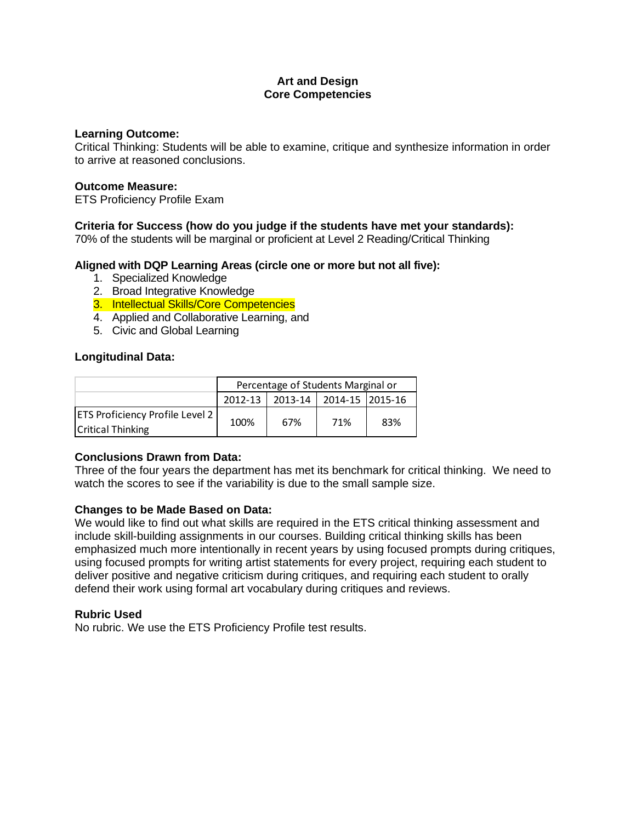# **Art and Design Core Competencies**

#### **Learning Outcome:**

Critical Thinking: Students will be able to examine, critique and synthesize information in order to arrive at reasoned conclusions.

#### **Outcome Measure:**

ETS Proficiency Profile Exam

# **Criteria for Success (how do you judge if the students have met your standards):**

70% of the students will be marginal or proficient at Level 2 Reading/Critical Thinking

### **Aligned with DQP Learning Areas (circle one or more but not all five):**

- 1. Specialized Knowledge
- 2. Broad Integrative Knowledge
- 3. Intellectual Skills/Core Competencies
- 4. Applied and Collaborative Learning, and
- 5. Civic and Global Learning

# **Longitudinal Data:**

|                                                                    | Percentage of Students Marginal or |                                       |     |     |
|--------------------------------------------------------------------|------------------------------------|---------------------------------------|-----|-----|
|                                                                    |                                    | 2012-13   2013-14   2014-15   2015-16 |     |     |
| <b>ETS Proficiency Profile Level 2</b><br><b>Critical Thinking</b> | 100%                               | 67%                                   | 71% | 83% |

# **Conclusions Drawn from Data:**

Three of the four years the department has met its benchmark for critical thinking. We need to watch the scores to see if the variability is due to the small sample size.

### **Changes to be Made Based on Data:**

We would like to find out what skills are required in the ETS critical thinking assessment and include skill-building assignments in our courses. Building critical thinking skills has been emphasized much more intentionally in recent years by using focused prompts during critiques, using focused prompts for writing artist statements for every project, requiring each student to deliver positive and negative criticism during critiques, and requiring each student to orally defend their work using formal art vocabulary during critiques and reviews.

### **Rubric Used**

No rubric. We use the ETS Proficiency Profile test results.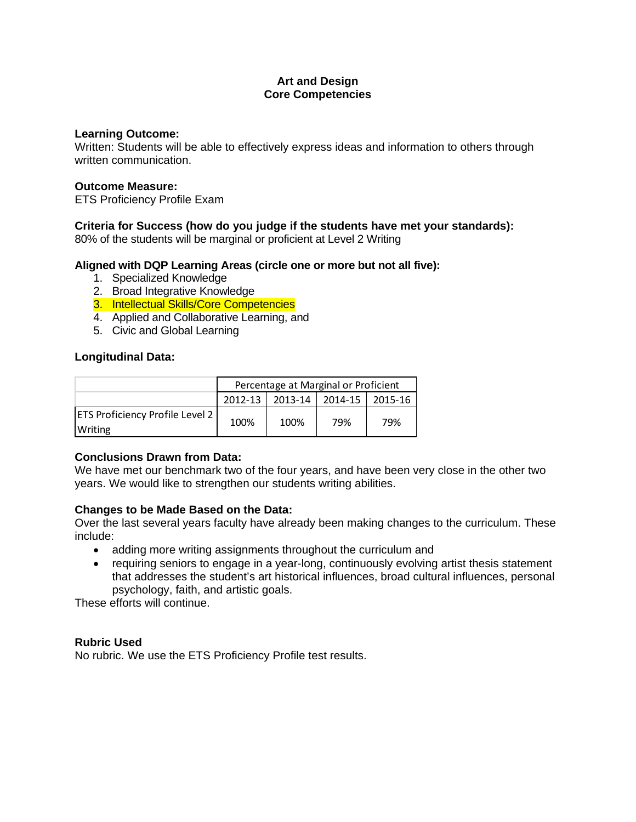# **Art and Design Core Competencies**

#### **Learning Outcome:**

Written: Students will be able to effectively express ideas and information to others through written communication.

### **Outcome Measure:**

ETS Proficiency Profile Exam

# **Criteria for Success (how do you judge if the students have met your standards):**

80% of the students will be marginal or proficient at Level 2 Writing

# **Aligned with DQP Learning Areas (circle one or more but not all five):**

- 1. Specialized Knowledge
- 2. Broad Integrative Knowledge
- 3. Intellectual Skills/Core Competencies
- 4. Applied and Collaborative Learning, and
- 5. Civic and Global Learning

# **Longitudinal Data:**

|                                                   | Percentage at Marginal or Proficient |                       |                 |     |
|---------------------------------------------------|--------------------------------------|-----------------------|-----------------|-----|
|                                                   |                                      | $2012 - 13$   2013-14 | 2014-15 2015-16 |     |
| <b>ETS Proficiency Profile Level 2</b><br>Writing | 100%                                 | 100%                  | 79%             | 79% |

# **Conclusions Drawn from Data:**

We have met our benchmark two of the four years, and have been very close in the other two years. We would like to strengthen our students writing abilities.

### **Changes to be Made Based on the Data:**

Over the last several years faculty have already been making changes to the curriculum. These include:

- adding more writing assignments throughout the curriculum and
- requiring seniors to engage in a year-long, continuously evolving artist thesis statement that addresses the student's art historical influences, broad cultural influences, personal psychology, faith, and artistic goals.

These efforts will continue.

### **Rubric Used**

No rubric. We use the ETS Proficiency Profile test results.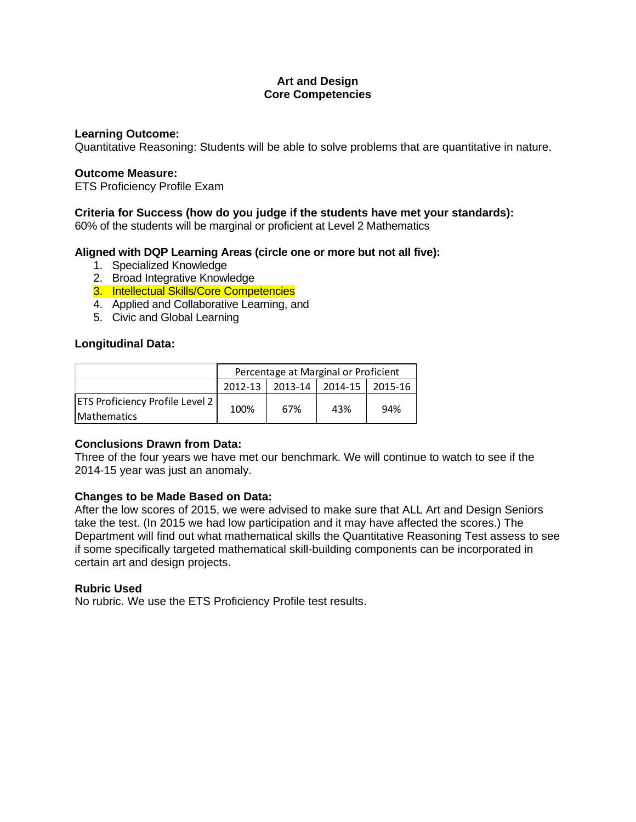# **Art and Design Core Competencies**

#### **Learning Outcome:**

Quantitative Reasoning: Students will be able to solve problems that are quantitative in nature.

#### **Outcome Measure:**

ETS Proficiency Profile Exam

#### **Criteria for Success (how do you judge if the students have met your standards):**

60% of the students will be marginal or proficient at Level 2 Mathematics

### **Aligned with DQP Learning Areas (circle one or more but not all five):**

- 1. Specialized Knowledge
- 2. Broad Integrative Knowledge
- 3. Intellectual Skills/Core Competencies
- 4. Applied and Collaborative Learning, and
- 5. Civic and Global Learning

#### **Longitudinal Data:**

|                                        | Percentage at Marginal or Proficient |     |                 |         |  |
|----------------------------------------|--------------------------------------|-----|-----------------|---------|--|
|                                        | $2012 - 13$                          |     | 2013-14 2014-15 | 2015-16 |  |
| <b>ETS Proficiency Profile Level 2</b> | 100%                                 | 67% | 43%             | 94%     |  |
| <b>IMathematics</b>                    |                                      |     |                 |         |  |

### **Conclusions Drawn from Data:**

Three of the four years we have met our benchmark. We will continue to watch to see if the 2014-15 year was just an anomaly.

### **Changes to be Made Based on Data:**

After the low scores of 2015, we were advised to make sure that ALL Art and Design Seniors take the test. (In 2015 we had low participation and it may have affected the scores.) The Department will find out what mathematical skills the Quantitative Reasoning Test assess to see if some specifically targeted mathematical skill-building components can be incorporated in certain art and design projects.

### **Rubric Used**

No rubric. We use the ETS Proficiency Profile test results.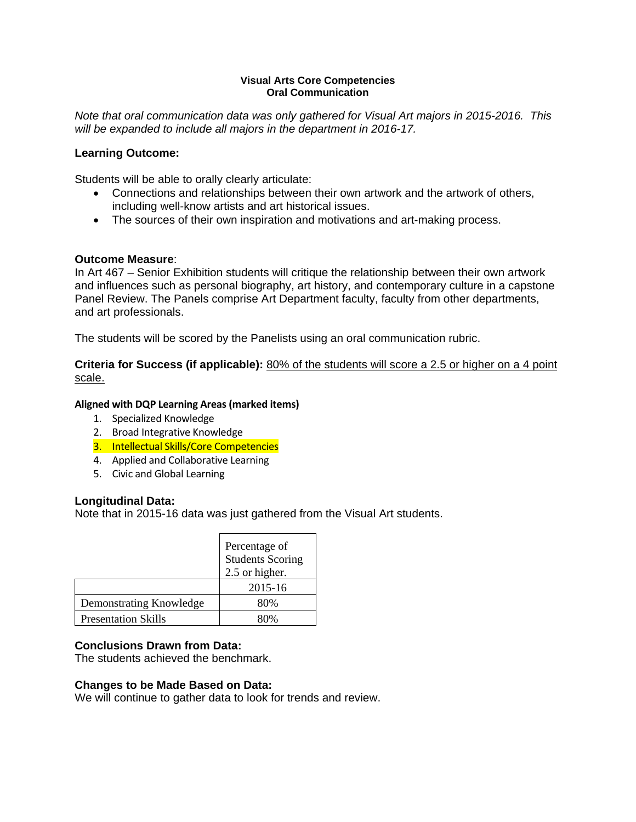#### **Visual Arts Core Competencies Oral Communication**

*Note that oral communication data was only gathered for Visual Art majors in 2015-2016. This will be expanded to include all majors in the department in 2016-17.* 

# **Learning Outcome:**

Students will be able to orally clearly articulate:

- Connections and relationships between their own artwork and the artwork of others, including well-know artists and art historical issues.
- The sources of their own inspiration and motivations and art-making process.

# **Outcome Measure**:

In Art 467 – Senior Exhibition students will critique the relationship between their own artwork and influences such as personal biography, art history, and contemporary culture in a capstone Panel Review. The Panels comprise Art Department faculty, faculty from other departments, and art professionals.

The students will be scored by the Panelists using an oral communication rubric.

**Criteria for Success (if applicable):** 80% of the students will score a 2.5 or higher on a 4 point scale.

# **Aligned with DQP Learning Areas(marked items)**

- 1. Specialized Knowledge
- 2. Broad Integrative Knowledge
- 3. Intellectual Skills/Core Competencies
- 4. Applied and Collaborative Learning
- 5. Civic and Global Learning

# **Longitudinal Data:**

Note that in 2015-16 data was just gathered from the Visual Art students.

|                            | Percentage of<br><b>Students Scoring</b><br>2.5 or higher. |
|----------------------------|------------------------------------------------------------|
|                            | 2015-16                                                    |
| Demonstrating Knowledge    | 80%                                                        |
| <b>Presentation Skills</b> |                                                            |

# **Conclusions Drawn from Data:**

The students achieved the benchmark.

### **Changes to be Made Based on Data:**

We will continue to gather data to look for trends and review.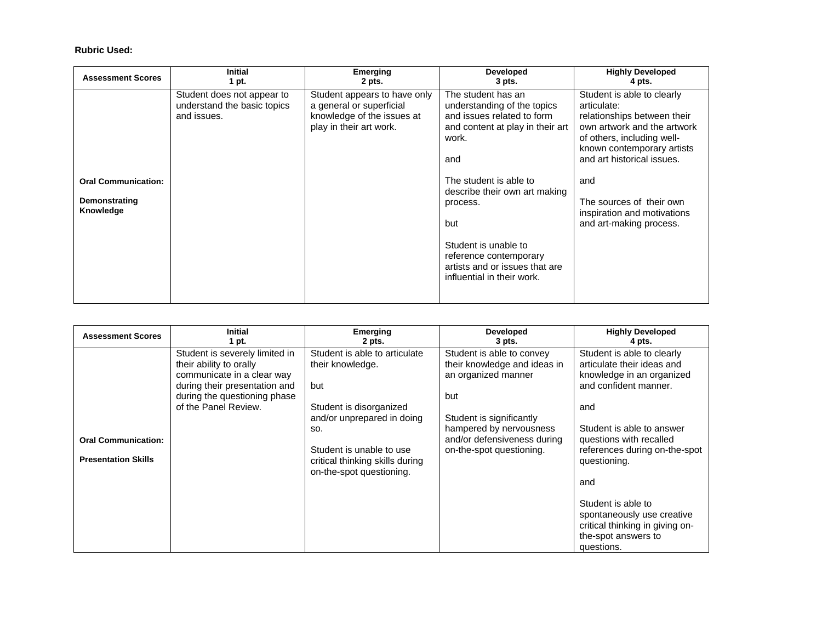#### **Rubric Used:**

| <b>Assessment Scores</b>                                 | <b>Initial</b>                                                           | <b>Emerging</b>                                                                                                   | <b>Developed</b>                                                                                                                                                                                                                                                                                                                    | <b>Highly Developed</b>                                                                                                                                                                                                                                                                        |
|----------------------------------------------------------|--------------------------------------------------------------------------|-------------------------------------------------------------------------------------------------------------------|-------------------------------------------------------------------------------------------------------------------------------------------------------------------------------------------------------------------------------------------------------------------------------------------------------------------------------------|------------------------------------------------------------------------------------------------------------------------------------------------------------------------------------------------------------------------------------------------------------------------------------------------|
|                                                          | 1 pt.                                                                    | 2 pts.                                                                                                            | $3$ pts.                                                                                                                                                                                                                                                                                                                            | 4 pts.                                                                                                                                                                                                                                                                                         |
| <b>Oral Communication:</b><br>Demonstrating<br>Knowledge | Student does not appear to<br>understand the basic topics<br>and issues. | Student appears to have only<br>a general or superficial<br>knowledge of the issues at<br>play in their art work. | The student has an<br>understanding of the topics<br>and issues related to form<br>and content at play in their art<br>work.<br>and<br>The student is able to<br>describe their own art making<br>process.<br>but<br>Student is unable to<br>reference contemporary<br>artists and or issues that are<br>influential in their work. | Student is able to clearly<br>articulate:<br>relationships between their<br>own artwork and the artwork<br>of others, including well-<br>known contemporary artists<br>and art historical issues.<br>and<br>The sources of their own<br>inspiration and motivations<br>and art-making process. |

| <b>Assessment Scores</b>                                 | <b>Initial</b>                                                                                                                                                                   | <b>Emerging</b>                                                                                                                                                                                                     | <b>Developed</b>                                                                                                                                                                                          | <b>Highly Developed</b>                                                                                                                                                                                                                                                                                                                                           |
|----------------------------------------------------------|----------------------------------------------------------------------------------------------------------------------------------------------------------------------------------|---------------------------------------------------------------------------------------------------------------------------------------------------------------------------------------------------------------------|-----------------------------------------------------------------------------------------------------------------------------------------------------------------------------------------------------------|-------------------------------------------------------------------------------------------------------------------------------------------------------------------------------------------------------------------------------------------------------------------------------------------------------------------------------------------------------------------|
|                                                          | 1 pt.                                                                                                                                                                            | 2 pts.                                                                                                                                                                                                              | 3 pts.                                                                                                                                                                                                    | 4 pts.                                                                                                                                                                                                                                                                                                                                                            |
| <b>Oral Communication:</b><br><b>Presentation Skills</b> | Student is severely limited in<br>their ability to orally<br>communicate in a clear way<br>during their presentation and<br>during the questioning phase<br>of the Panel Review. | Student is able to articulate<br>their knowledge.<br>but<br>Student is disorganized<br>and/or unprepared in doing<br>SO.<br>Student is unable to use<br>critical thinking skills during<br>on-the-spot questioning. | Student is able to convey<br>their knowledge and ideas in<br>an organized manner<br>but<br>Student is significantly<br>hampered by nervousness<br>and/or defensiveness during<br>on-the-spot questioning. | Student is able to clearly<br>articulate their ideas and<br>knowledge in an organized<br>and confident manner.<br>and<br>Student is able to answer<br>questions with recalled<br>references during on-the-spot<br>questioning.<br>and<br>Student is able to<br>spontaneously use creative<br>critical thinking in giving on-<br>the-spot answers to<br>questions. |